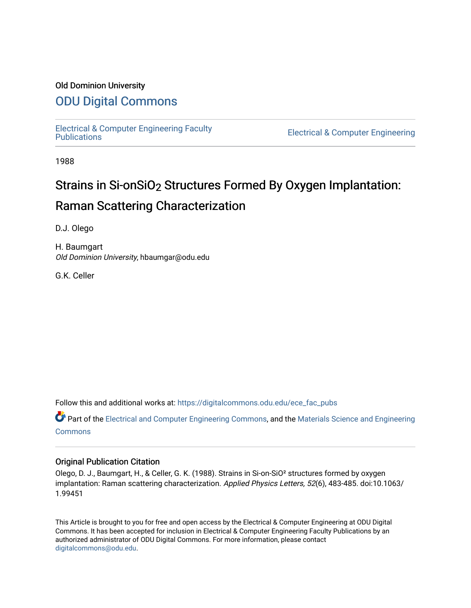#### Old Dominion University

## [ODU Digital Commons](https://digitalcommons.odu.edu/)

[Electrical & Computer Engineering Faculty](https://digitalcommons.odu.edu/ece_fac_pubs) 

**Electrical & Computer Engineering** 

1988

## Strains in Si-onSiO2 Structures Formed By Oxygen Implantation: Raman Scattering Characterization

D.J. Olego

H. Baumgart Old Dominion University, hbaumgar@odu.edu

G.K. Celler

Follow this and additional works at: [https://digitalcommons.odu.edu/ece\\_fac\\_pubs](https://digitalcommons.odu.edu/ece_fac_pubs?utm_source=digitalcommons.odu.edu%2Fece_fac_pubs%2F238&utm_medium=PDF&utm_campaign=PDFCoverPages) 

Part of the [Electrical and Computer Engineering Commons](http://network.bepress.com/hgg/discipline/266?utm_source=digitalcommons.odu.edu%2Fece_fac_pubs%2F238&utm_medium=PDF&utm_campaign=PDFCoverPages), and the [Materials Science and Engineering](http://network.bepress.com/hgg/discipline/285?utm_source=digitalcommons.odu.edu%2Fece_fac_pubs%2F238&utm_medium=PDF&utm_campaign=PDFCoverPages)  [Commons](http://network.bepress.com/hgg/discipline/285?utm_source=digitalcommons.odu.edu%2Fece_fac_pubs%2F238&utm_medium=PDF&utm_campaign=PDFCoverPages)

#### Original Publication Citation

Olego, D. J., Baumgart, H., & Celler, G. K. (1988). Strains in Si-on-SiO² structures formed by oxygen implantation: Raman scattering characterization. Applied Physics Letters, 52(6), 483-485. doi:10.1063/ 1.99451

This Article is brought to you for free and open access by the Electrical & Computer Engineering at ODU Digital Commons. It has been accepted for inclusion in Electrical & Computer Engineering Faculty Publications by an authorized administrator of ODU Digital Commons. For more information, please contact [digitalcommons@odu.edu](mailto:digitalcommons@odu.edu).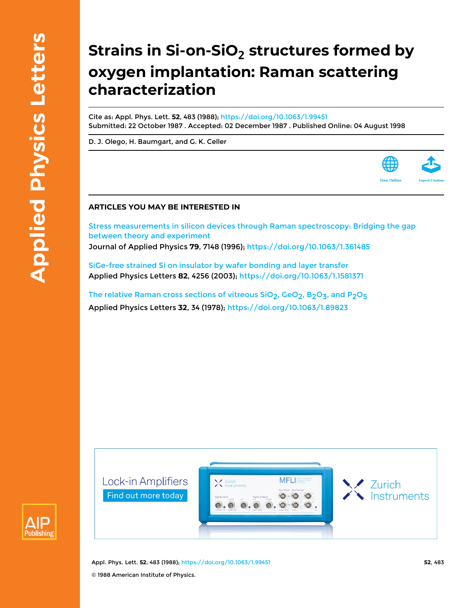# **Strains in Si-on-SiO<sup>2</sup> structures formed by oxygen implantation: Raman scattering characterization**

Cite as: Appl. Phys. Lett. **52**, 483 (1988); <https://doi.org/10.1063/1.99451> Submitted: 22 October 1987 . Accepted: 02 December 1987 . Published Online: 04 August 1998

[D. J. Olego](https://aip.scitation.org/author/Olego%2C+D+J), [H. Baumgart](https://aip.scitation.org/author/Baumgart%2C+H), and [G. K. Celler](https://aip.scitation.org/author/Celler%2C+G+K)

#### **ARTICLES YOU MAY BE INTERESTED IN**

[Stress measurements in silicon devices through Raman spectroscopy: Bridging the gap](https://aip.scitation.org/doi/10.1063/1.361485) [between theory and experiment](https://aip.scitation.org/doi/10.1063/1.361485) Journal of Applied Physics **79**, 7148 (1996); <https://doi.org/10.1063/1.361485>

[SiGe-free strained Si on insulator by wafer bonding and layer transfer](https://aip.scitation.org/doi/10.1063/1.1581371) Applied Physics Letters **82**, 4256 (2003); <https://doi.org/10.1063/1.1581371>

The relative Raman cross sections of vitreous SiO<sub>2</sub>, GeO<sub>2</sub>, B<sub>2</sub>O<sub>3</sub>, and P<sub>2</sub>O<sub>5</sub> Applied Physics Letters **32**, 34 (1978); <https://doi.org/10.1063/1.89823>





Appl. Phys. Lett. **52**, 483 (1988); <https://doi.org/10.1063/1.99451> **52**, 483 © 1988 American Institute of Physics.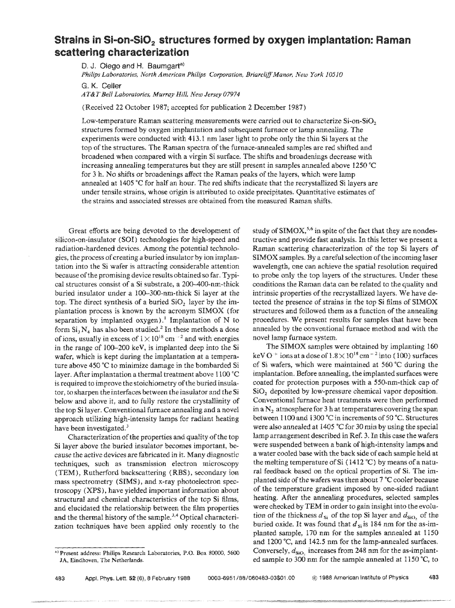### **Strains In Si <sup>m</sup> on .. Si02 structures formed by oxygen implantation: Raman scattering characterization**

D. J. Olego and H. Baumgart<sup>a)</sup>

*Philips Laboratories, North American Philips Corporation, BriarcliflManor, New York 10510* 

G. K. Ceiler

 $AT&T$  Bell Laboratories, Murray Hill, New Jersey 07974

(Received 22 October 1987; accepted for publication 2 December 1987)

Low-temperature Raman scattering measurements were carried out to characterize Si-on-SiO<sub>2</sub> structures formed by oxygen implantation and subsequent furnace or lamp annealing. The experiments were conducted with 413.1 nm laser light to probe only the thin Si layers at the top of the structures. The Raman spectra of the furnace-annealed samples are red shifted and broadened when compared with a virgin Si surface. The shifts and broadenings decrease with increasing annealing temperatures but they are still present in samples annealed above 1250 °C for 3 h. No shifts or broadenings affect the Raman peaks of the layers, which were lamp annealed at 1405 "C for half an hour. The red shifts indicate that the recrystallized Si layers are under tensile strains, whose origin is attributed to oxide precipitates. Quantitative estimates of the strains and associated stresses are obtained from the measured Raman shifts.

Great efforts are being devoted to the development of silicon-on-insulator (SOl) technologies for high-speed and radiation-hardened devices. Among the potential technologies, the process of creating a buried insulator by ion implantation into the Si wafer is attracting considerable attention because of the promising device results obtained so far. Typical structures consist of a 5i substrate, a 200-400-nm-thick buried insulator under a l00-300-nm-thick Si layer at the top. The direct synthesis of a buried  $SiO<sub>2</sub>$  layer by the implantation process is known by the acronym SIMOX (for separation by implanted oxygen).<sup>1</sup> Implantation of N to form  $Si_3 N_4$  has also been studied.<sup>2</sup> In these methods a dose of ions, usually in excess of  $1 \times 10^{18}$  cm  $^{-2}$  and with energies in the range of 100-200 keY, is implanted deep into the Si wafer, which is kept during the implantation at a temperature above 450°C to minimize damage in the bombarded Si layer. After implantation a thermal treatment above  $1100 °C$ is required to improve the stoichiometry of the buried insulator, to sharpen the interfaces between the insulator and the Si below and above it, and to fully restore the crystallinity of the top 5i layer. Conventional furnace annealing and a novel approach utilizing high-intensity lamps for radiant heating have been investigated.<sup>3</sup>

Characterization of the properties and quality of the top Si layer above the buried insulator becomes important, because the active devices are fabricated in it. Many diagnostic techniques, such as transmission electron microscopy (TEM), Rutherford backscattering (RES), secondary ion mass spectrometry (SIMS), and x-ray photoelectron spectroscopy (XPS), have yielded important information about structural and chemical characteristics of the top Si films, and elucidated the relationship between the film properties and the thermal history of the sample.<sup>3,4</sup> Optical characterization techniques have been applied only recently to the

a) Present address: Philips Research Laboratories, P.O. Box 80000, 5600

The SIMOX samples were obtained by implanting 160 keV O  $+$  ions at a dose of  $1.8 \times 10^{18}$  cm<sup>-2</sup> into (100) surfaces of Si wafers, which were maintained at 560 °C during the implantation. Before annealing, the implanted surfaces were coated for protection purposes with a 550-nm-thick cap of SiO<sub>2</sub> deposited by low-pressure chemical vapor deposition. Conventional furnace heat treatments were then performed in a  $N<sub>2</sub>$  atmosphere for 3 h at temperatures covering the span between 1100 and 1300 °C in increments of 50°C. Structures were also annealed at 1405 °C for 30 min by using the special lamp arrangement described in Ref. 3. In this case the wafers were suspended between a bank of high-intensity lamps and a water cooled base with the back side of each sample heid at the melting temperature of Si (1412 °C) by means of a natural feedback based on the optical properties of Si. The implanted side of the wafers was then about 7 °C cooler because of the temperature gradient imposed by one-sided radiant heating. After the annealing procedures, selected samples were checked by TEM in order to gain insight into the evolution of the thickness  $d_{si}$  of the top Si layer and  $d_{siO_2}$  of the buried oxide. It was found that  $d_{\rm Si}$  is 184 nm for the as-implanted sample, 170 nm for the samples annealed at 1150 and 1200 °C, and 142.5 nm for the lamp-annealed surfaces. Conversely,  $d_{SiO}$  increases from 248 nm for the as-implanted sample to  $300$  nm for the sample annealed at  $1150$  °C, to

*lA,* Eindhoven, The Netherlands.

study of SIMOX,<sup>5,6</sup> in spite of the fact that they are nondestructive and provide fast analysis. In this letter we present a Raman scattering characterization of the top 8i layers of SIMOX samples. By a careful selection of the incoming laser wavelength, one can achieve the spatial resolution required to probe only the top layers of the structures. Under these conditions the Raman data can be related to the quality and intrinsic properties of the recrystallized layers. We have detected the presence of strains in the top Si films of SIMOX structures and followed them as a function of the annealing procedures. We present results for samples that have been annealed by the conventional furnace method and with the novel lamp furnace system.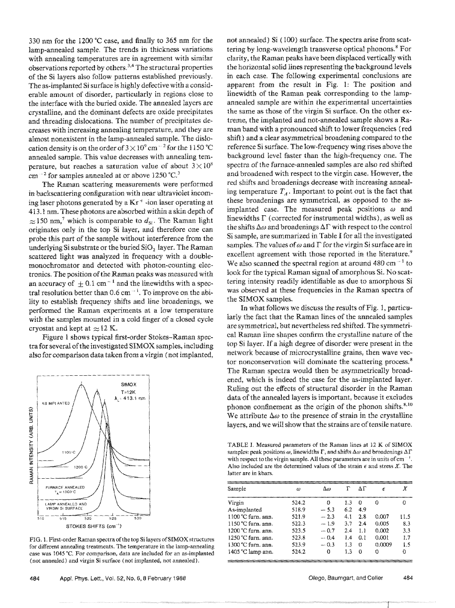330 nm for the 1200  $\degree$ C case, and finally to 365 nm for the lamp-annealed sample. The trends in thickness variations with annealing temperatures are in agreement with similar observations reported by others.<sup>3,4</sup> The structural properties of the Si layers also follow patterns established previously, The as-implanted Si surface is highly defective with a considerable amount of disorder, particularly in regions dose to the interface with the buried oxide, The annealed layers are crystalline, and the dominant defects are oxide precipitates and threading dislocations. The number of precipitates decreases with increasing annealing temperature, and they are almost nonexistent in the lamp-annealed sample. The dislocation density is on the order of  $3 \times 10^{9}$  cm<sup>-2</sup> for the 1150 °C annealed sample, This value decreases with annealing temperature, but reaches a saturation value of about  $3 \times 10^8$ cm<sup> $-2$ </sup> for samples annealed at or above 1250 °C.<sup>3</sup>

The Raman scattering measurements were performed in backscattering configuration with near ultraviolet incoming laser photons generated by a  $Kr^+$ -ion laser operating at 413,1 nm, These photons are absorbed within a skin depth of  $\approx$  150 nm,<sup>7</sup> which is comparable to  $d_{\rm S}$ . The Raman light originates only in the top Si layer, and therefore one can probe this part of the sample without interference from the underlying Si substrate or the buried SiO<sub>2</sub> layer. The Raman scattered light was analyzed in frequency with a doublemonochromator and detected with photon-counting electronics, The position of the Raman peaks was measured with an accuracy of  $\pm$  0.1 cm<sup>-1</sup> and the linewidths with a spectral resolution better than  $0.6$  cm<sup> $-1$ </sup>. To improve on the ability to establish frequency shifts and line broadenings, we performed the Raman experiments at a low temperature with the samples mounted in a cold finger of a closed cycle cryostat and kept at  $\approx$  12 K.

Figure 1 shows typical first-order Stokes-Raman spectra for several of the investigated SIMOX samples, including also for comparison data taken from a virgin (not implanted,



FIG. 1. First-order Raman spectra of the top Si layers of SIMOX structures for different annealing treatments, The temperature in the lamp-annealing case was 1045 °C. For comparison, data are included for an as-implanted (not annealed) and virgin Si surface (not implanted, not annealed),

not annealed) Si (100) surface. The spectra arise from scattering by long-wavelength transverse optical phonons.<sup>8</sup> For clarity, the Raman peaks have been displaced vertically with the horizontal solid lines representing the background levels in each case, The following experimental conclusions are apparent from the result in Fig. I: The position and linewidth of the Raman peak corresponding to the lampannealed sample are within the experimental uncertainties the same as those of the virgin Si surface, On the other extreme, the implanted and not-annealed sample shows a Raman band with a pronounced shift to lower frequencies (red shift) and a clear asymmetrical broadening compared to the reference Si surface, The low-frequency wing rises above the background level faster than the high-frequency one, The spectra of the furnace-annealed samples are also red shifted and broadened with respect to the virgin case, However, the red shifts and broadenings decrease with increasing annealing temperature  $T_A$ . Important to point out is the fact that these broadenings are symmetrical, as opposed to the asimplanted case. The measured peak positions  $\omega$  and linewidths  $\Gamma$  (corrected for instrumental widths), as well as the shifts  $\Delta\omega$  and broadenings  $\Delta\Gamma$  with respect to the control Si sample, are summarized in Table I for all the investigated samples. The values of  $\omega$  and  $\Gamma$  for the virgin Si surface are in excellent agreement with those reported in the literature.<sup>9</sup> We also scanned the spectral region at around  $480 \text{ cm}^{-1}$  to look for the typical Raman signal of amorphous Si. No scattering intensity readily identifiable as due to amorphous Si was observed at these frequencies in the Raman spectra of the SIMOX samples,

In what follows we discuss the results of Fig. 1, particularly the fact that the Raman lines of the annealed samples are symmetrical, but nevertheless red shifted, The symmetrical Raman line shapes confirm the crystalline nature of the top 8i layer, If a high degree of disorder were present in the network because of microcrystalline grains, then wave vector nonconservation will dominate the scattering process.<sup>8</sup> The Raman spectra would then be asymmetrically broadened, which is indeed the case for the as-implanted layer. Ruling out the effects of structural disorder in the Raman data of the annealed layers is important, because it excludes phonon confinement as the origin of the phonon shifts. $8,10$ We attribute  $\Delta \omega$  to the presence of strain in the crystalline layers, and we will show that the strains are of tensile nature.

TABLE 1. Measured parameters of the Raman lines at 12 K of SIMOX samples: peak positions  $\omega$ , linewidths  $\Gamma$ , and shifts  $\Delta\omega$  and broadcnings  $\Delta\Gamma$ with respect to the virgin sample. All these parameters are in units of  $cm^{-1}$ . Also included are the determined values of the strain  $\epsilon$  and stress X. The latter are in kbars.

| Sample                       | O)    | $\Delta\omega$ |     | ΔΓ  | F      | Х    |
|------------------------------|-------|----------------|-----|-----|--------|------|
| Virgin                       | 524.2 | o              | 1.3 | D   | o      | Ω    |
| As-implanted                 | 518.9 | $-5.3$         | 6.2 | 4.9 |        |      |
| 1100 °C furn. ann.           | 521.9 | $-2.3$         | 4.1 | 2.8 | 0.007  | 11.5 |
| $1150$ °C furn, ann.         | 522.3 | $-1.9$         | 37  | 2.4 | 0.005  | 83   |
| $1200$ °C furn, ann.         | 523.5 | $-0.7$         | 2.4 | 1.1 | 0.002  | 33   |
| $1250$ °C furn, ann.         | 523.8 | $-.0.4$        | 14  | 0.1 | 0.001  | 17   |
| $1300 \text{ °C}$ furn, ann. | 523.9 | $-0.3$         | 13  | Ω   | 0.0009 | 1 S  |
| 1405 °C lamp ann.            | 524.2 | 0              | 13  | 0   | o      | Ω    |